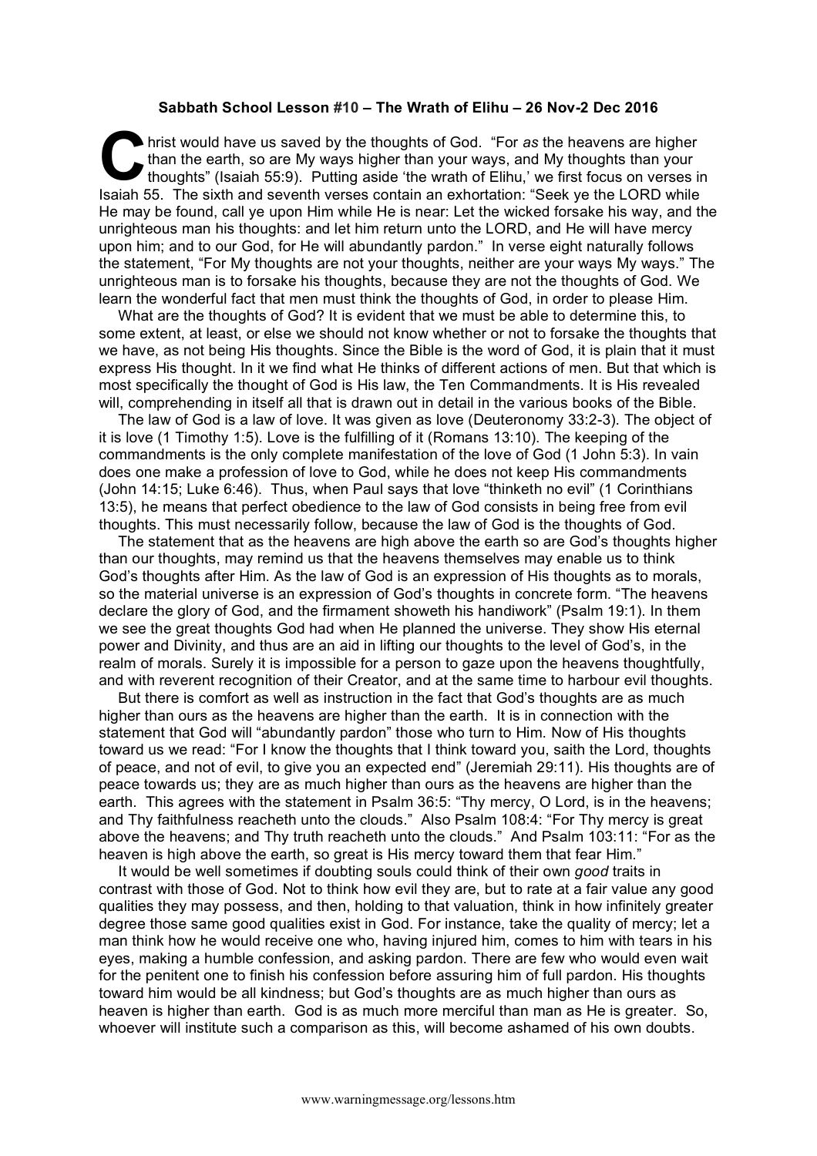## **Sabbath School Lesson #10 – The Wrath of Elihu – 26 Nov-2 Dec 2016**

hrist would have us saved by the thoughts of God. "For *as* the heavens are higher than the earth, so are My ways higher than your ways, and My thoughts than your thoughts" (Isaiah 55:9). Putting aside 'the wrath of Elihu,' we first focus on verses in Isaiah 55. The sixth and seventh verses contain an exhortation: "Seek ye the LORD while He may be found, call ye upon Him while He is near: Let the wicked forsake his way, and the unrighteous man his thoughts: and let him return unto the LORD, and He will have mercy upon him; and to our God, for He will abundantly pardon." In verse eight naturally follows the statement, "For My thoughts are not your thoughts, neither are your ways My ways." The unrighteous man is to forsake his thoughts, because they are not the thoughts of God. We learn the wonderful fact that men must think the thoughts of God, in order to please Him. **C** the

What are the thoughts of God? It is evident that we must be able to determine this, to some extent, at least, or else we should not know whether or not to forsake the thoughts that we have, as not being His thoughts. Since the Bible is the word of God, it is plain that it must express His thought. In it we find what He thinks of different actions of men. But that which is most specifically the thought of God is His law, the Ten Commandments. It is His revealed will, comprehending in itself all that is drawn out in detail in the various books of the Bible.

The law of God is a law of love. It was given as love (Deuteronomy 33:2-3). The object of it is love (1 Timothy 1:5). Love is the fulfilling of it (Romans 13:10). The keeping of the commandments is the only complete manifestation of the love of God (1 John 5:3). In vain does one make a profession of love to God, while he does not keep His commandments (John 14:15; Luke 6:46). Thus, when Paul says that love "thinketh no evil" (1 Corinthians 13:5), he means that perfect obedience to the law of God consists in being free from evil thoughts. This must necessarily follow, because the law of God is the thoughts of God.

The statement that as the heavens are high above the earth so are God's thoughts higher than our thoughts, may remind us that the heavens themselves may enable us to think God's thoughts after Him. As the law of God is an expression of His thoughts as to morals, so the material universe is an expression of God's thoughts in concrete form. "The heavens declare the glory of God, and the firmament showeth his handiwork" (Psalm 19:1). In them we see the great thoughts God had when He planned the universe. They show His eternal power and Divinity, and thus are an aid in lifting our thoughts to the level of God's, in the realm of morals. Surely it is impossible for a person to gaze upon the heavens thoughtfully, and with reverent recognition of their Creator, and at the same time to harbour evil thoughts.

But there is comfort as well as instruction in the fact that God's thoughts are as much higher than ours as the heavens are higher than the earth. It is in connection with the statement that God will "abundantly pardon" those who turn to Him. Now of His thoughts toward us we read: "For I know the thoughts that I think toward you, saith the Lord, thoughts of peace, and not of evil, to give you an expected end" (Jeremiah 29:11). His thoughts are of peace towards us; they are as much higher than ours as the heavens are higher than the earth. This agrees with the statement in Psalm 36:5: "Thy mercy, O Lord, is in the heavens; and Thy faithfulness reacheth unto the clouds." Also Psalm 108:4: "For Thy mercy is great above the heavens; and Thy truth reacheth unto the clouds." And Psalm 103:11: "For as the heaven is high above the earth, so great is His mercy toward them that fear Him."

It would be well sometimes if doubting souls could think of their own *good* traits in contrast with those of God. Not to think how evil they are, but to rate at a fair value any good qualities they may possess, and then, holding to that valuation, think in how infinitely greater degree those same good qualities exist in God. For instance, take the quality of mercy; let a man think how he would receive one who, having injured him, comes to him with tears in his eyes, making a humble confession, and asking pardon. There are few who would even wait for the penitent one to finish his confession before assuring him of full pardon. His thoughts toward him would be all kindness; but God's thoughts are as much higher than ours as heaven is higher than earth. God is as much more merciful than man as He is greater. So, whoever will institute such a comparison as this, will become ashamed of his own doubts.